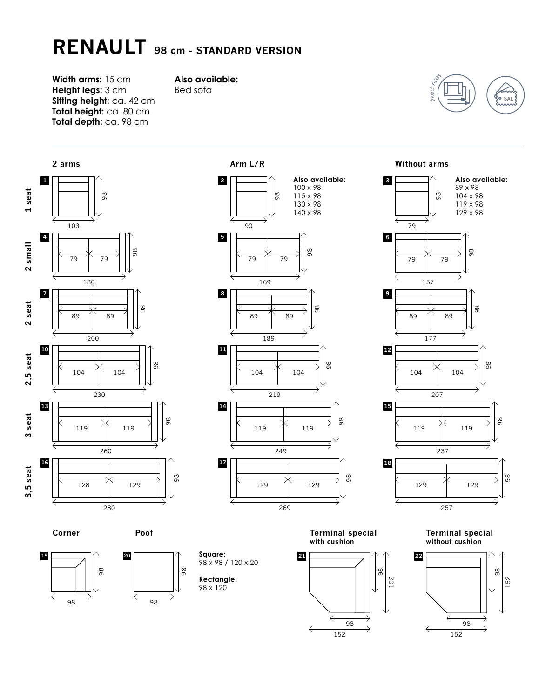## **RENAULT 98 cm - STANDARD VERSION**

**Width arms:** 15 cm **Height legs:** 3 cm **Sitting height:** ca. 42 cm **Total height:** ca. 80 cm **Total depth:** ca. 98 cm

## **Also available:**

Bed sofa





**Corner**

**Poof**



98 x 98 / 120 x 20 **Rectangle:** 98 x 120

**Square:**

**Terminal special with cushion**

98

98

98



98

98



**Terminal special without cushion**

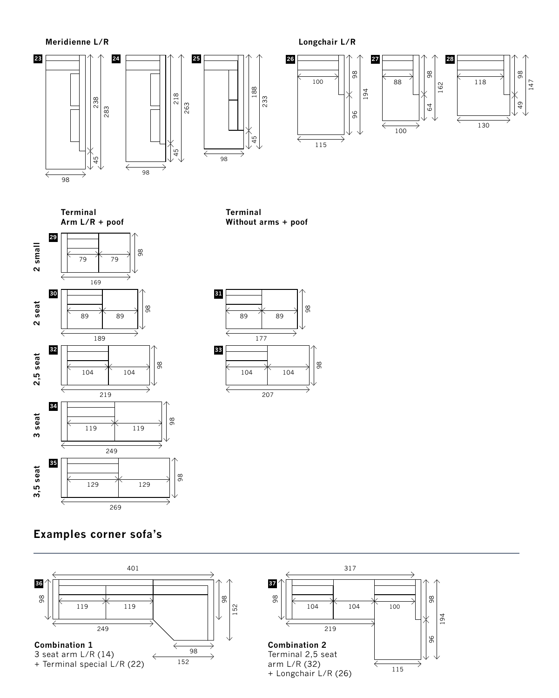

**Terminal Arm L/R + poof**

**Terminal Without arms + poof**





**Examples corner sofa's**

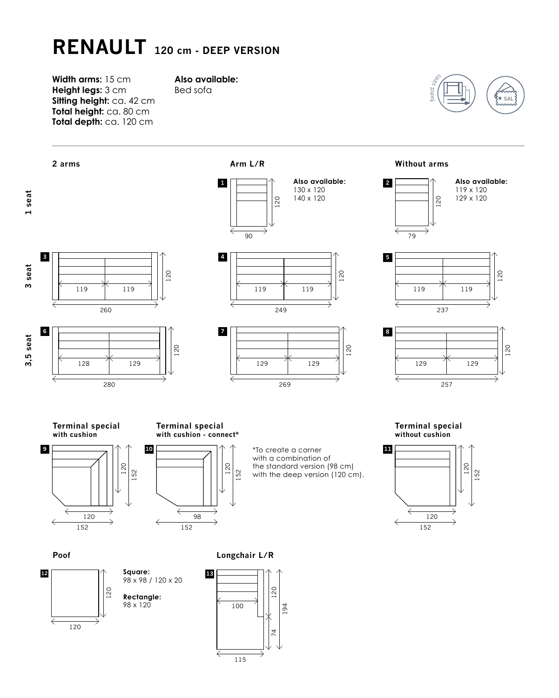## **RENAULT 120 cm - DEEP VERSION**

**Width arms:** 15 cm **Height legs:** 3 cm **Sitting height:** ca. 42 cm **Total height:** ca. 80 cm **Total depth:** ca. 120 cm

## **Also available:**

Bed sofa